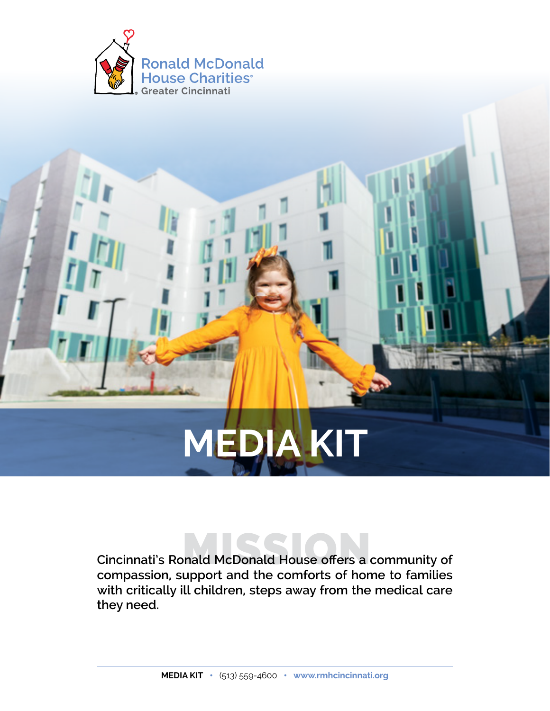

# **MEDIA KIT**

 **Cincinnati's Ronald McDonald House offers a community** MISSION **of with critically ill children, steps away from the medical care compassion, support and the comforts of home to families they need.**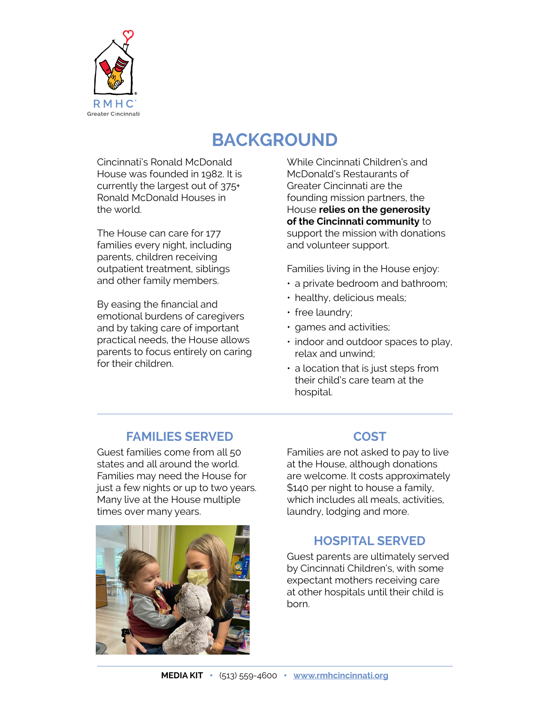

# **BACKGROUND**

Cincinnati's Ronald McDonald House was founded in 1982. It is currently the largest out of 375+ Ronald McDonald Houses in the world.

The House can care for 177 families every night, including parents, children receiving outpatient treatment, siblings and other family members.

By easing the financial and emotional burdens of caregivers and by taking care of important practical needs, the House allows parents to focus entirely on caring for their children.

McDonald's Restaurants of While Cincinnati Children's and Greater Cincinnati are the founding mission partners, the House **relies on the generosity of the Cincinnati community** to support the mission with donations and volunteer support.

Families living in the House enjoy:

- a private bedroom and bathroom;
- healthy, delicious meals;
- free laundry;
- games and activities;
- indoor and outdoor spaces to play, relax and unwind;
- a location that is just steps from their child's care team at the hospital.

## **FAMILIES SERVED**

Guest families come from all 50 states and all around the world. Families may need the House for just a few nights or up to two years. Many live at the House multiple times over many years.



#### **COST**

Families are not asked to pay to live at the House, although donations are welcome. It costs approximately \$140 per night to house a family, which includes all meals, activities, laundry, lodging and more.

## **HOSPITAL SERVED**

Guest parents are ultimately served by Cincinnati Children's, with some expectant mothers receiving care at other hospitals until their child is born.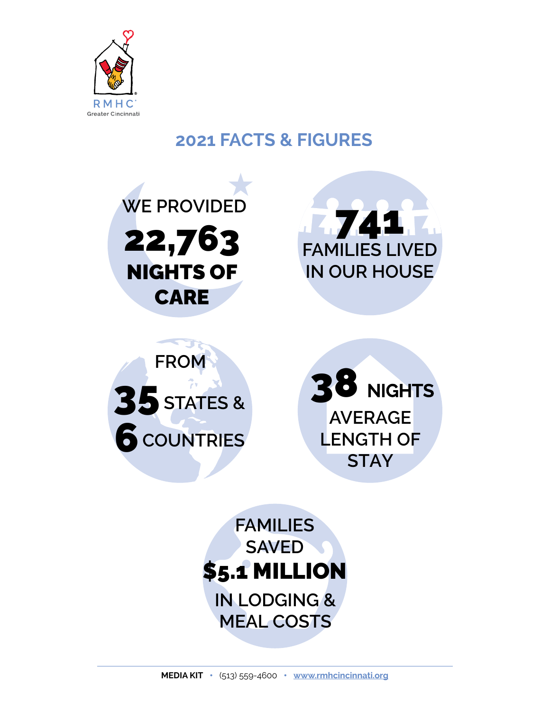

## **2021 FACTS & FIGURES**







**AVERAGE LENGTH OF STAY**  38 **NIGHTS**

**FAMILIES SAVED**  \$5.1 MILLION **IN LODGING & MEAL COSTS**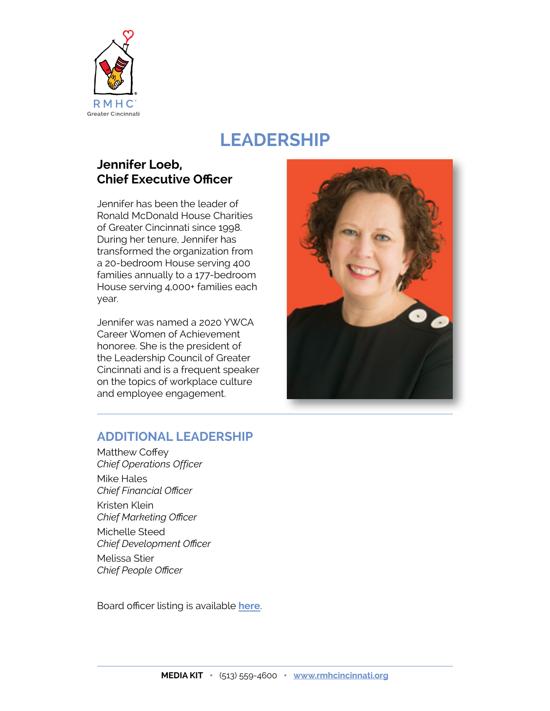

## **LEADERSHIP**

## **Jennifer Loeb, Chief Executive Officer**

Jennifer has been the leader of Ronald McDonald House Charities of Greater Cincinnati since 1998. During her tenure, Jennifer has transformed the organization from a 20-bedroom House serving 400 families annually to a 177-bedroom House serving 4,000+ families each year.

Jennifer was named a 2020 YWCA Career Women of Achievement honoree. She is the president of the Leadership Council of Greater Cincinnati and is a frequent speaker on the topics of workplace culture and employee engagement.



#### **ADDITIONAL LEADERSHIP**

Matthew Coffey *Chief Operations Officer* Mike Hales *Chief Financial Officer* Kristen Klein *Chief Marketing Officer* Michelle Steed *Chief Development Officer* Melissa Stier *Chief People Officer*

Board officer listing is available **[here](https://www.rmhcincinnati.org/about-us/board-and-leadership/)**.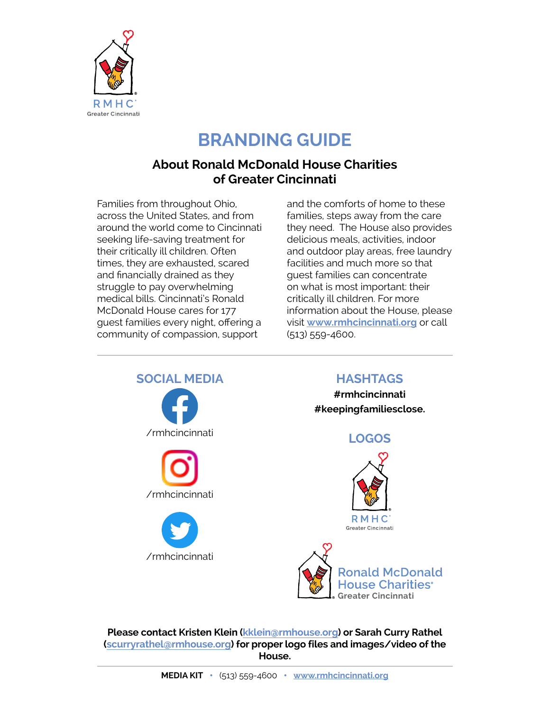

# **BRANDING GUIDE**

## **About Ronald McDonald House Charities of Greater Cincinnati**

Families from throughout Ohio, across the United States, and from around the world come to Cincinnati seeking life-saving treatment for their critically ill children. Often times, they are exhausted, scared and financially drained as they struggle to pay overwhelming medical bills. Cincinnati's Ronald McDonald House cares for 177 guest families every night, offering a community of compassion, support

and the comforts of home to these families, steps away from the care they need. The House also provides delicious meals, activities, indoor and outdoor play areas, free laundry facilities and much more so that guest families can concentrate on what is most important: their critically ill children. For more information about the House, please visit **[www.rmhcincinnati.org](http://www.rmhcincinnati.org)** or call (513) 559-4600.



 **(scurry[rathel@rmhouse.org](mailto:srathel%40rmhouse.org?subject=)) for proper logo files and images/video of the Please contact Kristen Klein [\(kklein@rmhouse.org\)](mailto:kklein%40rmhouse.org?subject=) or Sarah Curry Rathel House.**